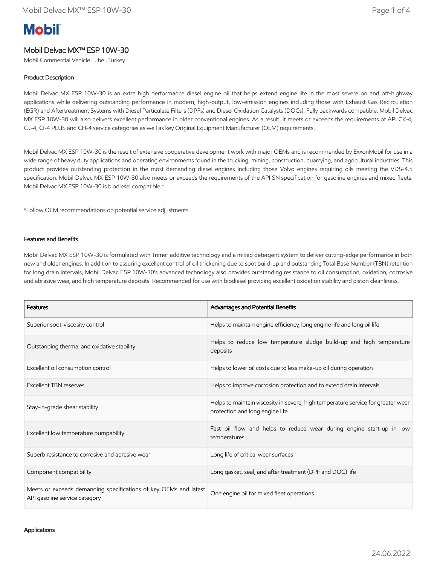# **Mobil**

# Mobil Delvac MX™ ESP 10W-30

Mobil Commercial Vehicle Lube , Turkey

## Product Description

Mobil Delvac MX ESP 10W-30 is an extra high performance diesel engine oil that helps extend engine life in the most severe on and off-highway applications while delivering outstanding performance in modern, high-output, low-emission engines including those with Exhaust Gas Recirculation (EGR) and Aftertreatment Systems with Diesel Particulate Filters (DPFs) and Diesel Oxidation Catalysts (DOCs). Fully backwards compatible, Mobil Delvac MX ESP 10W-30 will also delivers excellent performance in older conventional engines. As a result, it meets or exceeds the requirements of API CK-4, CJ-4, CI-4 PLUS and CH-4 service categories as well as key Original Equipment Manufacturer (OEM) requirements.

Mobil Delvac MX ESP 10W-30 is the result of extensive cooperative development work with major OEMs and is recommended by ExxonMobil for use in a wide range of heavy duty applications and operating environments found in the trucking, mining, construction, quarrying, and agricultural industries. This product provides outstanding protection in the most demanding diesel engines including those Volvo engines requiring oils meeting the VDS-4.5 specification. Mobil Delvac MX ESP 10W-30 also meets or exceeds the requirements of the API SN specification for gasoline engines and mixed fleets. Mobil Delvac MX ESP 10W-30 is biodiesel compatible.\*

\*Follow OEM recommendations on potential service adjustments

#### Features and Benefits

Mobil Delvac MX ESP 10W-30 is formulated with Trimer additive technology and a mixed detergent system to deliver cutting-edge performance in both new and older engines. In addition to assuring excellent control of oil thickening due to soot build-up and outstanding Total Base Number (TBN) retention for long drain intervals, Mobil Delvac ESP 10W-30's advanced technology also provides outstanding resistance to oil consumption, oxidation, corrosive and abrasive wear, and high temperature deposits. Recommended for use with biodiesel providing excellent oxidation stability and piston cleanliness.

| <b>Features</b>                                                                                   | Advantages and Potential Benefits                                                                                   |  |
|---------------------------------------------------------------------------------------------------|---------------------------------------------------------------------------------------------------------------------|--|
| Superior soot-viscosity control                                                                   | Helps to maintain engine efficiency, long engine life and long oil life                                             |  |
| Outstanding thermal and oxidative stability                                                       | Helps to reduce low temperature sludge build-up and high temperature<br>deposits                                    |  |
| Excellent oil consumption control                                                                 | Helps to lower oil costs due to less make-up oil during operation                                                   |  |
| Excellent TBN reserves                                                                            | Helps to improve corrosion protection and to extend drain intervals                                                 |  |
| Stay-in-grade shear stability                                                                     | Helps to maintain viscosity in severe, high temperature service for greater wear<br>protection and long engine life |  |
| Excellent low temperature pumpability                                                             | Fast oil flow and helps to reduce wear during engine start-up in low<br>temperatures                                |  |
| Superb resistance to corrosive and abrasive wear                                                  | Long life of critical wear surfaces                                                                                 |  |
| Component compatibility                                                                           | Long gasket, seal, and after treatment (DPF and DOC) life                                                           |  |
| Meets or exceeds demanding specifications of key OEMs and latest<br>API gasoline service category | One engine oil for mixed fleet operations                                                                           |  |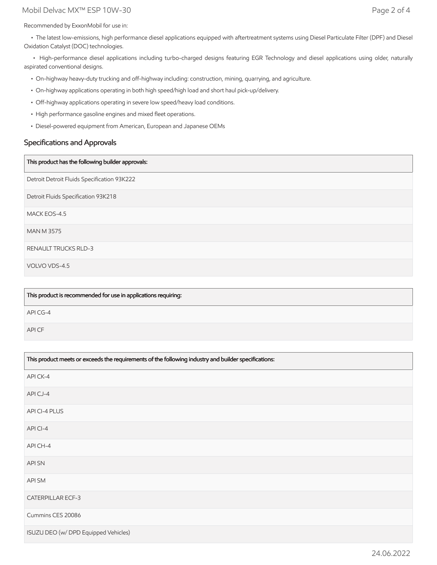## Mobil Delvac MX™ ESP 10W-30 Page 2 of 4

Recommended by ExxonMobil for use in:

 • The latest low-emissions, high performance diesel applications equipped with aftertreatment systems using Diesel Particulate Filter (DPF) and Diesel Oxidation Catalyst (DOC) technologies.

 • High-performance diesel applications including turbo-charged designs featuring EGR Technology and diesel applications using older, naturally aspirated conventional designs.

- On-highway heavy-duty trucking and off-highway including: construction, mining, quarrying, and agriculture.
- On-highway applications operating in both high speed/high load and short haul pick-up/delivery.
- Off-highway applications operating in severe low speed/heavy load conditions.
- High performance gasoline engines and mixed fleet operations.
- Diesel-powered equipment from American, European and Japanese OEMs

## Specifications and Approvals

#### This product has the following builder approvals:

Detroit Detroit Fluids Specification 93K222

Detroit Fluids Specification 93K218

MACK EOS-4.5

MAN M 3575

RENAULT TRUCKS RLD-3

VOLVO VDS-4.5

| This product is recommended for use in applications requiring: |
|----------------------------------------------------------------|
| API CG-4                                                       |
| API CF                                                         |

| This product meets or exceeds the requirements of the following industry and builder specifications: |  |
|------------------------------------------------------------------------------------------------------|--|
| API CK-4                                                                                             |  |
| APICJ-4                                                                                              |  |
| API CI-4 PLUS                                                                                        |  |
| API CI-4                                                                                             |  |
| API CH-4                                                                                             |  |
| <b>APISN</b>                                                                                         |  |
| API SM                                                                                               |  |
| <b>CATERPILLAR ECF-3</b>                                                                             |  |
| Cummins CES 20086                                                                                    |  |
| ISUZU DEO (w/ DPD Equipped Vehicles)                                                                 |  |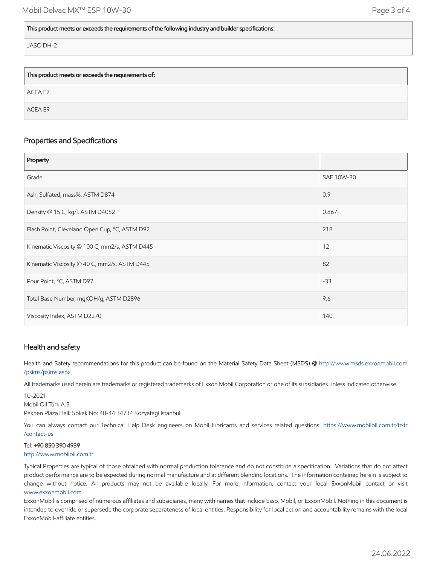## This product meets or exceeds the requirements of the following industry and builder specifications:

JASO DH-2

| This product meets or exceeds the requirements of: |  |
|----------------------------------------------------|--|
| ACEA E7                                            |  |
| ACEA E9                                            |  |

## Properties and Specifications

| Property                                      |            |
|-----------------------------------------------|------------|
| Grade                                         | SAE 10W-30 |
| Ash, Sulfated, mass%, ASTM D874               | 0.9        |
| Density @ 15 C, kg/l, ASTM D4052              | 0.867      |
| Flash Point, Cleveland Open Cup, °C, ASTM D92 | 218        |
| Kinematic Viscosity @ 100 C, mm2/s, ASTM D445 | 12         |
| Kinematic Viscosity @ 40 C, mm2/s, ASTM D445  | 82         |
| Pour Point, °C, ASTM D97                      | $-33$      |
| Total Base Number, mgKOH/g, ASTM D2896        | 9.6        |
| Viscosity Index, ASTM D2270                   | 140        |

# Health and safety

Health and Safety recommendations for this product can be found on the Material Safety Data Sheet (MSDS) @ [http://www.msds.exxonmobil.com](http://www.msds.exxonmobil.com/psims/psims.aspx) /psims/psims.aspx

All trademarks used herein are trademarks or registered trademarks of Exxon Mobil Corporation or one of its subsidiaries unless indicated otherwise.

10-2021

Mobil Oil Türk A.S.

Pakpen Plaza Halk Sokak No: 40-44 34734 Kozyatagi Istanbul

You can always contact our Technical Help Desk engineers on Mobil lubricants and services related questions: [https://www.mobiloil.com.tr/tr-tr](https://www.mobiloil.com.tr/tr-tr/contact-us) /contact-us

## Tel: +90 850 390 4939

#### [http://www.mobiloil.com.tr](http://www.mobiloil.com.tr/)

Typical Properties are typical of those obtained with normal production tolerance and do not constitute a specification. Variations that do not affect product performance are to be expected during normal manufacture and at different blending locations. The information contained herein is subject to change without notice. All products may not be available locally. For more information, contact your local ExxonMobil contact or visit [www.exxonmobil.com](http://www.exxonmobil.com/)

ExxonMobil is comprised of numerous affiliates and subsidiaries, many with names that include Esso, Mobil, or ExxonMobil. Nothing in this document is intended to override or supersede the corporate separateness of local entities. Responsibility for local action and accountability remains with the local ExxonMobil-affiliate entities.